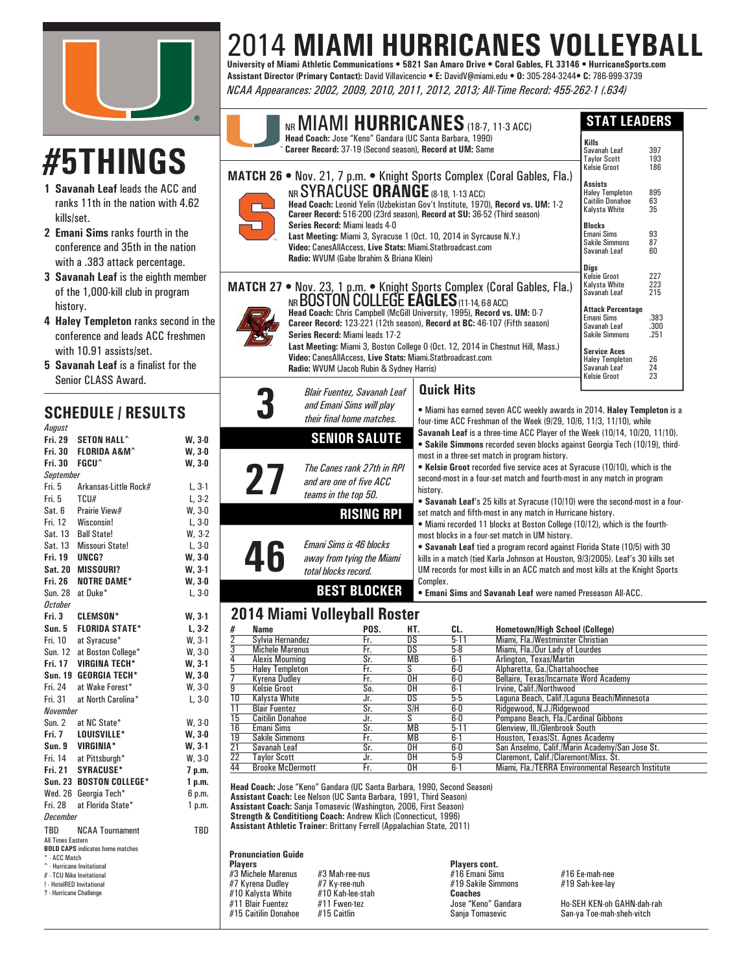

# **#5THINGS**

- **1 Savanah Leaf** leads the ACC and ranks 11th in the nation with 4.62 kills/set.
- **2 Emani Sims** ranks fourth in the conference and 35th in the nation with a .383 attack percentage.
- **3 Savanah Leaf** is the eighth member of the 1,000-kill club in program history.
- **4 Haley Templeton** ranks second in the conference and leads ACC freshmen with 10.91 assists/set.

 $L, 3-1$  $L, 3-2$  $W. 3-0$  $L, 3-0$  $W, 3-2$  $L. 3-0$ **W, 3-0 W, 3-1 W, 3-0**  $L, 3-0$ 

**W, 3-1 L, 3-2**  $W, 3-1$  $W, 3-0$ **W, 3-1 W. 3-0**  $W, 3-0$  $L, 3-0$ 

 $W, 3-0$ **W. 3-0 W. 3-1**  $W, 3-0$ 7 p.m. 1 p.m. 6 p.m.  $1 p.m.$ 

**5** Savanah Leaf is a finalist for the Senior CLASS Award.

### **SCHEDULE / RESULTS** *August*

| nuyuot                                               |                                                            |          |
|------------------------------------------------------|------------------------------------------------------------|----------|
|                                                      | Fri. 29 SETON HALL^                                        | $W, 3-0$ |
|                                                      | Fri. 30 FLORIDA A&M^                                       | W, 3-0   |
| <b>Fri. 30</b>                                       | <b>FGCU^</b>                                               | $W, 3-0$ |
| <b>September</b>                                     |                                                            |          |
|                                                      | Fri. 5 Arkansas-Little Rock#                               | $L, 3-1$ |
| Fri. 5 TCU#                                          |                                                            | $L, 3-2$ |
|                                                      | Sat. 6 Prairie View#                                       | W, 3-0   |
| Fri. 12                                              | Wisconsin!                                                 | $L, 3-0$ |
| Sat. 13                                              | <b>Ball State!</b>                                         | $W, 3-2$ |
|                                                      | Sat. 13 Missouri State!                                    | $L, 3-0$ |
| <b>Fri. 19 UNCG?</b>                                 |                                                            | W, 3-0   |
|                                                      | Sat. 20 MISSOURI?                                          | W, 3-1   |
|                                                      | Fri. 26 NOTRE DAME*                                        | $W, 3-0$ |
|                                                      | Sun. 28 at Duke*                                           | $L, 3-0$ |
| October                                              |                                                            |          |
|                                                      | Fri. 3 CLEMSON*                                            | $W, 3-1$ |
|                                                      | Sun. 5 FLORIDA STATE*                                      | $L, 3-2$ |
|                                                      | Fri. 10 at Syracuse*<br>Sun. 12 at Boston College*         | $W, 3-1$ |
|                                                      |                                                            | $W, 3-0$ |
|                                                      | Fri. 17 VIRGINA TECH*                                      | $W, 3-1$ |
|                                                      | Sun. 19 GEORGIA TECH*                                      | W, 3-0   |
| Fri. 24                                              | at Wake Forest*                                            | $W, 3-0$ |
| Fri. 31                                              | at North Carolina*                                         | $L, 3-0$ |
| <b>November</b>                                      |                                                            |          |
|                                                      | Sun. 2 at NC State*                                        | $W, 3-0$ |
|                                                      | Fri. 7 LOUISVILLE*                                         | W, 3-0   |
|                                                      | Sun. 9 VIRGINIA*<br>Fri. 14 at Pittsburgh*                 | W, 3-1   |
|                                                      |                                                            | $W, 3-0$ |
|                                                      | Fri. 21 SYRACUSE*                                          | 7 p.m.   |
|                                                      | Sun. 23 BOSTON COLLEGE*                                    | 1 p.m.   |
|                                                      | Wed. 26 Georgia Tech*                                      | 6 p.m.   |
|                                                      | Fri. 28 at Florida State*                                  | 1 p.m.   |
| <b>December</b>                                      |                                                            |          |
| TBD                                                  | <b>NCAA Tournament</b>                                     | TBD      |
| All Times Eastern                                    |                                                            |          |
| * - ACC Match                                        | <b>BOLD CAPS</b> indicates home matches                    |          |
|                                                      | <sup><math>\hat{\ }}</math></sup> - Hurricane Invitational |          |
|                                                      | # - TCU Nike Invitational                                  |          |
| ! - HotelRED Invitational<br>? - Hurricane Challenge |                                                            |          |
|                                                      |                                                            |          |
|                                                      |                                                            |          |
|                                                      |                                                            |          |

# 2014 **MIAMI HURRICANES VOLLEYBALL University of Miami Athletic Communications • 5821 San Amaro Drive • Coral Gables, FL 33146 • HurricaneSports.com**

**Assistant Director (Primary Contact):** David Villavicencio **• E:** DavidV@miami.edu **• O:** 305-284-3244**• C:** 786-999-3739 *NCAA Appearances: 2002, 2009, 2010, 2011, 2012, 2013; All-Time Record: 455-262-1 (.634)*

|                                                                                                                                                                                                                                                                                                                                                                                                                                                                                                                | Head Coach: Jose "Keno" Gandara (UC Santa Barbara, 1990)<br>Career Record: 37-19 (Second season), Record at UM: Same                                                                                                                                                                                      | NR MIAMI HURRICANES (18-7, 11-3 ACC)                                                                                                                                                                                                                                                                                                                                                                                                                                                                                                                                                                                                                                                                                                                                                                                                                                                                                                                                                                                                                                                      | <b>STAT LEADERS</b><br><b>Kills</b><br>Savanah Leaf<br><b>Taylor Scott</b>                                                                                                                  | 397<br>193                               |
|----------------------------------------------------------------------------------------------------------------------------------------------------------------------------------------------------------------------------------------------------------------------------------------------------------------------------------------------------------------------------------------------------------------------------------------------------------------------------------------------------------------|-----------------------------------------------------------------------------------------------------------------------------------------------------------------------------------------------------------------------------------------------------------------------------------------------------------|-------------------------------------------------------------------------------------------------------------------------------------------------------------------------------------------------------------------------------------------------------------------------------------------------------------------------------------------------------------------------------------------------------------------------------------------------------------------------------------------------------------------------------------------------------------------------------------------------------------------------------------------------------------------------------------------------------------------------------------------------------------------------------------------------------------------------------------------------------------------------------------------------------------------------------------------------------------------------------------------------------------------------------------------------------------------------------------------|---------------------------------------------------------------------------------------------------------------------------------------------------------------------------------------------|------------------------------------------|
|                                                                                                                                                                                                                                                                                                                                                                                                                                                                                                                | <b>NR SYRACUSE ORANGE (8-18, 1-13 ACC)</b><br>Series Record: Miami leads 4-0<br>Last Meeting: Miami 3, Syracuse 1 (Oct. 10, 2014 in Syrcause N.Y.)<br>Video: CanesAllAccess, Live Stats: Miami.Statbroadcast.com<br>Radio: WVUM (Gabe Ibrahim & Briana Klein)                                             | <b>MATCH 26 • Nov. 21, 7 p.m. • Knight Sports Complex (Coral Gables, Fla.)</b><br>Head Coach: Leonid Yelin (Uzbekistan Gov't Institute, 1970), Record vs. UM: 1-2<br>Career Record: 516-200 (23rd season), Record at SU: 36-52 (Third season)                                                                                                                                                                                                                                                                                                                                                                                                                                                                                                                                                                                                                                                                                                                                                                                                                                             | Kelsie Groot<br><b>Assists</b><br><b>Haley Templeton</b><br><b>Caitilin Donahoe</b><br>Kalysta White<br><b>Blocks</b><br><b>Emani Sims</b><br><b>Sakile Simmons</b><br>Savanah Leaf<br>Digs | 186<br>895<br>63<br>35<br>93<br>87<br>60 |
| MATCH 27 . Nov. 23, 1 p.m. . Knight Sports Complex (Coral Gables, Fla.)<br>NR BOSTON COLLEGE EAGLES (11-14, 6-8 ACC)<br>Head Coach: Chris Campbell (McGill University, 1995), Record vs. UM: 0-7<br>Career Record: 123-221 (12th season), Record at BC: 46-107 (Fifth season)<br>Series Record: Miami leads 17-2<br>Last Meeting: Miami 3, Boston College 0 (Oct. 12, 2014 in Chestnut Hill, Mass.)<br>Video: CanesAllAccess, Live Stats: Miami.Statbroadcast.com<br>Radio: WVUM (Jacob Rubin & Sydney Harris) | <b>Kelsie Groot</b><br>Kalvsta White<br>Savanah Leaf<br><b>Attack Percentage</b><br>Emani Sims<br>Savanah Leaf<br><b>Sakile Simmons</b><br><b>Service Aces</b><br><b>Haley Templeton</b><br>Savanah Leaf<br><b>Kelsie Groot</b>                                                                           | 227<br>223<br>215<br>.383<br>.300<br>.251<br>26<br>24<br>23                                                                                                                                                                                                                                                                                                                                                                                                                                                                                                                                                                                                                                                                                                                                                                                                                                                                                                                                                                                                                               |                                                                                                                                                                                             |                                          |
| 27                                                                                                                                                                                                                                                                                                                                                                                                                                                                                                             | Blair Fuentez, Savanah Leaf<br>and Emani Sims will play<br>their final home matches.<br><b>SENIOR SALUTE</b><br>The Canes rank 27th in RPI<br>and are one of five ACC<br>teams in the top 50.<br><b>RISING RPI</b><br><b>Emani Sims is 46 blocks</b><br>away from tying the Miami<br>total blocks record. | <b>Quick Hits</b><br>• Miami has earned seven ACC weekly awards in 2014. Haley Templeton is a<br>four time ACC Freshman of the Week (9/29, 10/6, 11/3, 11/10), while<br>Savanah Leaf is a three-time ACC Player of the Week (10/14, 10/20, 11/10).<br>• Sakile Simmons recorded seven blocks against Georgia Tech (10/19), third-<br>most in a three-set match in program history.<br>• Kelsie Groot recorded five service aces at Syracuse (10/10), which is the<br>second-most in a four-set match and fourth-most in any match in program<br>history.<br>. Savanah Leaf's 25 kills at Syracuse (10/10) were the second most in a four-<br>set match and fifth most in any match in Hurricane history.<br>• Miami recorded 11 blocks at Boston College (10/12), which is the fourth-<br>most blocks in a four-set match in UM history.<br>• Savanah Leaf tied a program record against Florida State (10/5) with 30<br>kills in a match (tied Karla Johnson at Houston, 9/3/2005). Leaf's 30 kills set<br>UM records for most kills in an ACC match and most kills at the Knight Sports |                                                                                                                                                                                             |                                          |

#### Complex. • **Emani Sims** and **Savanah Leaf** were named Preseason All-ACC. **BEST BLOCKER**

## **2014 Miami Volleyball Roster**

|                 | .  ,   .                |      |           |         |                                                    |
|-----------------|-------------------------|------|-----------|---------|----------------------------------------------------|
| #               | Name                    | POS. | HT.       | CL.     | <b>Hometown/High School (College)</b>              |
| 2               | Sylvia Hernandez        | Fr.  | DS        | $5-11$  | Miami, Fla./Westminster Christian                  |
| 3               | <b>Michele Marenus</b>  | Fr.  | DS        | $5-8$   | Miami, Fla./Our Lady of Lourdes                    |
| 4               | <b>Alexis Mourning</b>  | Sr.  | <b>MB</b> | $6 - 1$ | Arlington, Texas/Martin                            |
| 5               | <b>Haley Templeton</b>  | Fr.  | S         | 6-0     | Alpharetta, Ga./Chattahoochee                      |
|                 | Kvrena Dudlev           | Fr.  | OΗ        | $6-0$   | Bellaire. Texas/Incarnate Word Academy             |
| 9               | <b>Kelsie Groot</b>     | So.  | 0H        | $6 - 1$ | Irvine, Calif./Northwood                           |
| 10              | Kalvsta White           | Jr.  | DS        | 5-5     | Laguna Beach, Calif./Laguna Beach/Minnesota        |
| 11              | <b>Blair Fuentez</b>    | Sr.  | S/H       | 6-0     | Ridgewood, N.J./Ridgewood                          |
| 15              | <b>Caitilin Donahoe</b> | Jr.  | S         | 6-0     | Pompano Beach, Fla./Cardinal Gibbons               |
| 16              | Emani Sims              | Sr.  | <b>MB</b> | $5-11$  | Glenview, III./Glenbrook South                     |
| <u>19</u>       | <b>Sakile Simmons</b>   | Fr.  | <b>MB</b> | $6 - 1$ | Houston, Texas/St. Agnes Academy                   |
| $\overline{21}$ | Savanah Leaf            | Sr.  | 0H        | 6-0     | San Anselmo, Calif./Marin Academy/San Jose St.     |
| 22              | <b>Tavlor Scott</b>     | Jr.  | 0H        | $5-9$   | Claremont, Calif./Claremont/Miss, St.              |
| 44              | <b>Brooke McDermott</b> | Fr.  | 0H        | $6 - 1$ | Miami, Fla./TERRA Environmental Research Institute |
|                 |                         |      |           |         |                                                    |

**MORRIS, 2012 ERICKSON, 1990 DORSEY, 2002 KOSAR, 1984 Assistant Athletic Trainer**: Brittany Ferrell (Appalachian State, 2011) **Head Coach:** Jose "Keno" Gandara (UC Santa Barbara, 1990, Second Season) **Assistant Coach:** Lee Nelson (UC Santa Barbara, 1991, Third Season) **Assistant Coach:** Sanja Tomasevic (Washington, 2006, First Season) **Strength & Condititiong Coach:** Andrew Klich (Connecticut, 1996)

#### **Pronunciation Guide**

- **Players Players cont.** #3 Michele Marenus #3 Mah-ree-nus #16 Emani Sims #16 Ee-mah-nee #7 Kyrena Dudley #7 Ky-ree-nuh #19 Sakile Simmons #19 Sah-kee-lay #10 Kalysta White #10 Kah-lee-stah **Coaches** #11 Blair Fuentez #11 Fwen-tez Jose "Keno" Gandara Ho-SEH KEN-oh GAHN-dah-rah
	-

San-ya Toe-mah-sheh-vitch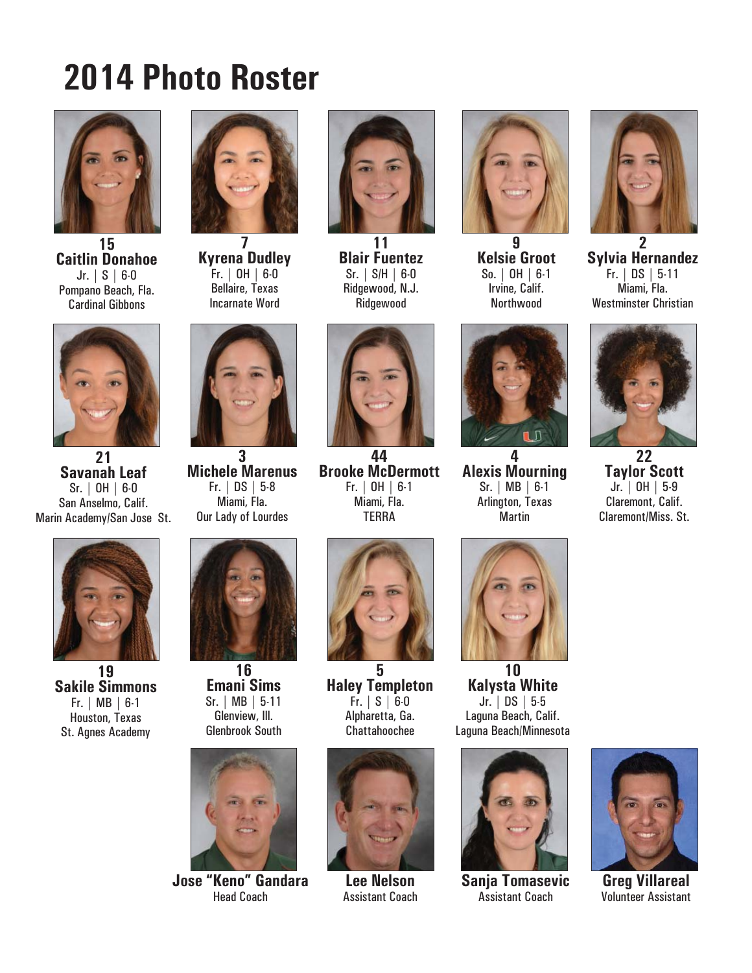# **2014 Photo Roster**



**15 Caitlin Donahoe** Jr. | S | 6-0 Pompano Beach, Fla. Cardinal Gibbons



**Kyrena Dudley** Fr. | OH | 6-0 Bellaire, Texas Incarnate Word



**11 Blair Fuentez** Sr. | S/H | 6-0 Ridgewood, N.J. Ridgewood



**9 Kelsie Groot** So. | OH | 6-1 Irvine, Calif. Northwood



**2 Sylvia Hernandez** Fr. | DS | 5-11 Miami, Fla. Westminster Christian



**21 Savanah Leaf** Sr. | OH | 6-0 San Anselmo, Calif. Marin Academy/San Jose St.



**19 Sakile Simmons** Fr. | MB | 6-1 Houston, Texas St. Agnes Academy



**3 Michele Marenus** Fr. | DS | 5-8 Miami, Fla. Our Lady of Lourdes



**16 Emani Sims** Sr. | MB | 5-11 Glenview, Ill. Glenbrook South



**Jose "Keno" Gandara** Head Coach



**44 Brooke McDermott** Fr. | OH | 6-1 Miami, Fla. **TFRRA** 



**5 Haley Templeton** Fr. | S | 6-0 Alpharetta, Ga. Chattahoochee



**Lee Nelson** Assistant Coach



**4 Alexis Mourning** Sr. | MB | 6-1 Arlington, Texas Martin



**10 Kalysta White** Jr. | DS | 5-5 Laguna Beach, Calif. Laguna Beach/Minnesota



**Sanja Tomasevic** Assistant Coach



**22 Taylor Scott** Jr. | OH | 5-9 Claremont, Calif. Claremont/Miss. St.



**Greg Villareal** Volunteer Assistant